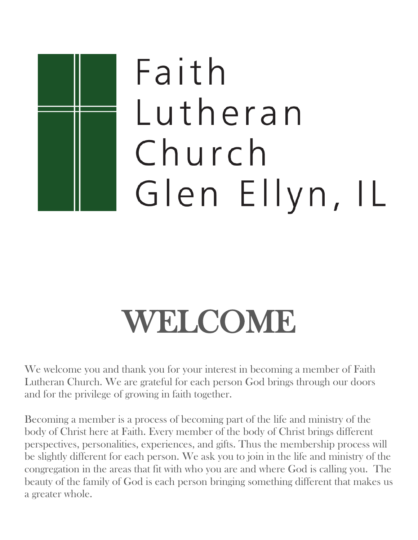# Faith Lutheran Church Glen Ellyn, IL

## WELCOME

We welcome you and thank you for your interest in becoming a member of Faith Lutheran Church. We are grateful for each person God brings through our doors and for the privilege of growing in faith together.

Becoming a member is a process of becoming part of the life and ministry of the body of Christ here at Faith. Every member of the body of Christ brings different perspectives, personalities, experiences, and gifts. Thus the membership process will be slightly different for each person. We ask you to join in the life and ministry of the congregation in the areas that fit with who you are and where God is calling you. The beauty of the family of God is each person bringing something different that makes us a greater whole.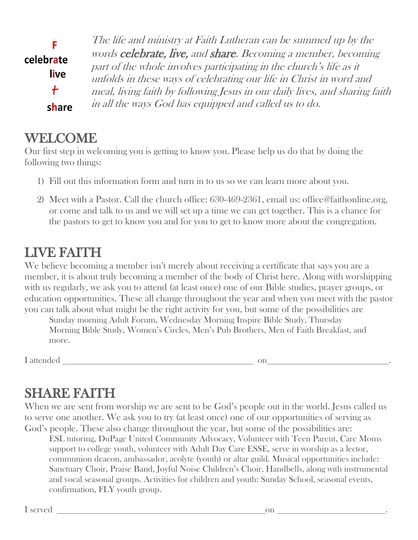|                   | The life and ministry at Faith Lutheran can be summed up by the<br>words celebrate, live, and share. Becoming a member, becoming                   |
|-------------------|----------------------------------------------------------------------------------------------------------------------------------------------------|
| celebrate<br>live | part of the whole involves participating in the church's life as it                                                                                |
| $\ddot{}$         | unfolds in these ways of celebrating our life in Christ in word and<br>meal, living faith by following Jesus in our daily lives, and sharing faith |
| share             | in all the ways God has equipped and called us to do.                                                                                              |

#### WELCOME

Our first step in welcoming you is getting to know you. Please help us do that by doing the following two things:

- 1) Fill out this information form and turn in to us so we can learn more about you.
- 2) Meet with a Pastor. Call the church office: 630-469-2361, email us: office@faithonline.org, or come and talk to us and we will set up a time we can get together. This is a chance for the pastors to get to know you and for you to get to know more about the congregation.

#### LIVE FAITH

We believe becoming a member isn't merely about receiving a certificate that says you are a member, it is about truly becoming a member of the body of Christ here. Along with worshipping with us regularly, we ask you to attend (at least once) one of our Bible studies, prayer groups, or education opportunities. These all change throughout the year and when you meet with the pastor you can talk about what might be the right activity for you, but some of the possibilities are

Sunday morning Adult Forum, Wednesday Morning Inspire Bible Study, Thursday Morning Bible Study, Women's Circles, Men's Pub Brothers, Men of Faith Breakfast, and more.

I attended on .

### SHARE FAITH

When we are sent from worship we are sent to be God's people out in the world. Jesus called us to serve one another. We ask you to try (at least once) one of our opportunities of serving as God's people. These also change throughout the year, but some of the possibilities are:

ESL tutoring, DuPage United Community Advocacy, Volunteer with Teen Parent, Care Moms support to college youth, volunteer with Adult Day Care ESSE, serve in worship as a lector, communion deacon, ambassador, acolyte (youth) or altar guild. Musical opportunities include: Sanctuary Choir, Praise Band, Joyful Noise Children's Choir, Handbells, along with instrumental and vocal seasonal groups. Activities for children and youth: Sunday School, seasonal events, confirmation, FLY youth group.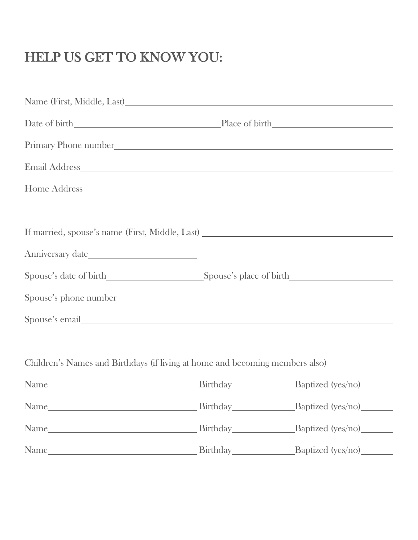### HELP US GET TO KNOW YOU:

| Primary Phone number                                                              |                            |
|-----------------------------------------------------------------------------------|----------------------------|
|                                                                                   |                            |
|                                                                                   |                            |
|                                                                                   |                            |
| If married, spouse's name (First, Middle, Last) _________________________________ |                            |
|                                                                                   |                            |
|                                                                                   |                            |
|                                                                                   |                            |
| Spouse's email                                                                    |                            |
|                                                                                   |                            |
| Children's Names and Birthdays (if living at home and becoming members also)      |                            |
|                                                                                   |                            |
|                                                                                   | Birthday Baptized (yes/no) |
|                                                                                   |                            |
|                                                                                   |                            |